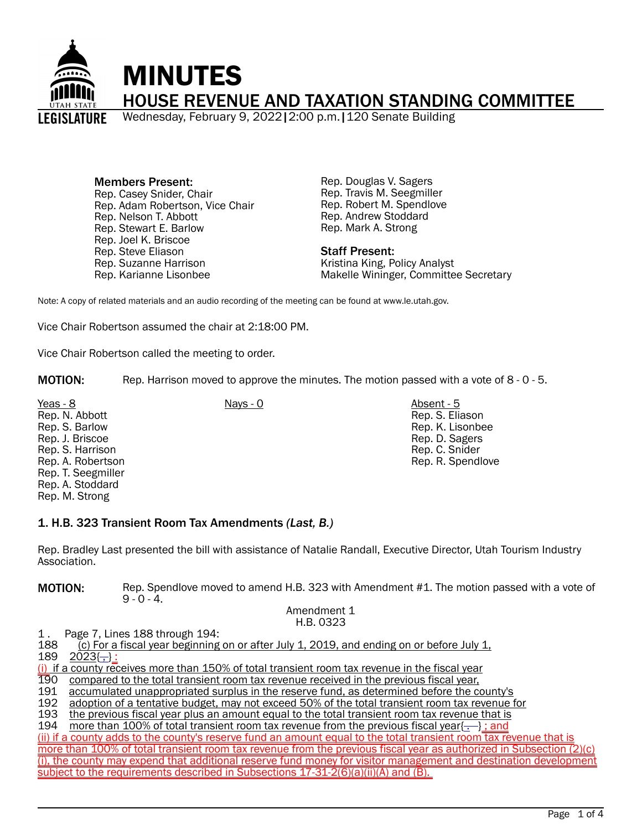

Members Present: Rep. Casey Snider, Chair Rep. Adam Robertson, Vice Chair Rep. Nelson T. Abbott Rep. Stewart E. Barlow Rep. Joel K. Briscoe Rep. Steve Eliason Rep. Suzanne Harrison Rep. Karianne Lisonbee

Rep. Douglas V. Sagers Rep. Travis M. Seegmiller Rep. Robert M. Spendlove Rep. Andrew Stoddard Rep. Mark A. Strong

### Staff Present:

Kristina King, Policy Analyst Makelle Wininger, Committee Secretary

Note: A copy of related materials and an audio recording of the meeting can be found at www.le.utah.gov.

Vice Chair Robertson assumed the chair at 2:18:00 PM.

Vice Chair Robertson called the meeting to order.

MOTION: Rep. Harrison moved to approve the minutes. The motion passed with a vote of 8 - 0 - 5.

Yeas - 8 Nays - 0 Absent - 5 Rep. N. Abbott Rep. S. Barlow Rep. J. Briscoe Rep. S. Harrison Rep. A. Robertson Rep. T. Seegmiller Rep. A. Stoddard Rep. M. Strong

Rep. S. Eliason Rep. K. Lisonbee Rep. D. Sagers Rep. C. Snider Rep. R. Spendlove

# 1. H.B. 323 Transient Room Tax Amendments *(Last, B.)*

Rep. Bradley Last presented the bill with assistance of Natalie Randall, Executive Director, Utah Tourism Industry Association.

**MOTION:** Rep. Spendlove moved to amend H.B. 323 with Amendment #1. The motion passed with a vote of  $9 - 0 - 4.$ 

#### Amendment 1 H.B. 0323

1. Page 7, Lines 188 through 194:<br>188 (c) For a fiscal vear beginning 188 (c) For a fiscal year beginning on or after July 1, 2019, and ending on or before July 1, 1.<br>189 2023{--}:

 $2023(-)$ :

 $(i)$  if a county receives more than 150% of total transient room tax revenue in the fiscal year<br>190 compared to the total transient room tax revenue received in the previous fiscal year,

190 compared to the total transient room tax revenue received in the previous fiscal year,<br>191 accumulated unappropriated surplus in the reserve fund, as determined before the co

191 accumulated unappropriated surplus in the reserve fund, as determined before the county's<br>192 adoption of a tentative budget, may not exceed 50% of the total transient room tax revenue f

192 adoption of a tentative budget, may not exceed 50% of the total transient room tax revenue for 1933 the previous fiscal vear plus an amount equal to the total transient room tax revenue that is

193 the previous fiscal year plus an amount equal to the total transient room tax revenue that is<br>194 theore than 100% of total transient room tax revenue from the previous fiscal year.

more than 100% of total transient room tax revenue from the previous fiscal year $\{\cdot\}$ ; and

(ii) if a county adds to the county's reserve fund an amount equal to the total transient room tax revenue that is more than 100% of total transient room tax revenue from the previous fiscal year as authorized in Subsection (2)(c) (i), the county may expend that additional reserve fund money for visitor management and destination development subject to the requirements described in Subsections 17-31-2(6)(a)(ii)(A) and (B).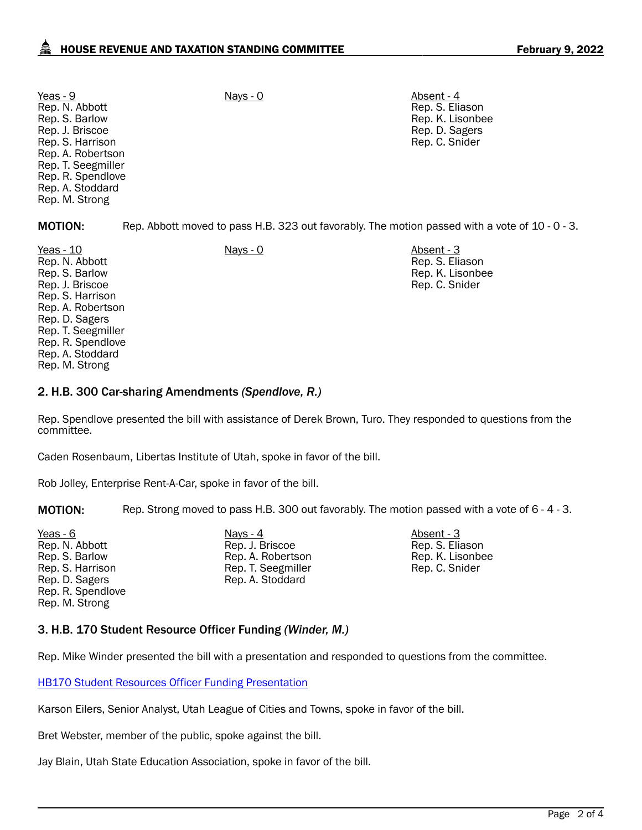Yeas - 9 Nays - 0 Absent - 4 Rep. N. Abbott Rep. S. Barlow Rep. J. Briscoe Rep. S. Harrison Rep. A. Robertson Rep. T. Seegmiller Rep. R. Spendlove Rep. A. Stoddard Rep. M. Strong

Rep. S. Eliason Rep. K. Lisonbee Rep. D. Sagers Rep. C. Snider

MOTION: Rep. Abbott moved to pass H.B. 323 out favorably. The motion passed with a vote of 10 - 0 - 3.

Yeas - 10 Nays - 0 Absent - 3 Rep. N. Abbott Rep. S. Barlow Rep. J. Briscoe Rep. S. Harrison Rep. A. Robertson Rep. D. Sagers Rep. T. Seegmiller Rep. R. Spendlove Rep. A. Stoddard Rep. M. Strong

Rep. S. Eliason Rep. K. Lisonbee Rep. C. Snider

# 2. H.B. 300 Car-sharing Amendments *(Spendlove, R.)*

Rep. Spendlove presented the bill with assistance of Derek Brown, Turo. They responded to questions from the committee.

Caden Rosenbaum, Libertas Institute of Utah, spoke in favor of the bill.

Rob Jolley, Enterprise Rent-A-Car, spoke in favor of the bill.

MOTION: Rep. Strong moved to pass H.B. 300 out favorably. The motion passed with a vote of 6 - 4 - 3.

Yeas - 6 Nays - 4 Absent - 3 Rep. N. Abbott Rep. S. Barlow Rep. S. Harrison Rep. D. Sagers Rep. R. Spendlove Rep. M. Strong

Rep. J. Briscoe Rep. A. Robertson Rep. T. Seegmiller Rep. A. Stoddard

Rep. S. Eliason Rep. K. Lisonbee Rep. C. Snider

# 3. H.B. 170 Student Resource Officer Funding *(Winder, M.)*

Rep. Mike Winder presented the bill with a presentation and responded to questions from the committee.

[HB170 Student Resources Officer Funding Presentation](https://le.utah.gov/interim/2022/pdf/00001694.pdf)

Karson Eilers, Senior Analyst, Utah League of Cities and Towns, spoke in favor of the bill.

Bret Webster, member of the public, spoke against the bill.

Jay Blain, Utah State Education Association, spoke in favor of the bill.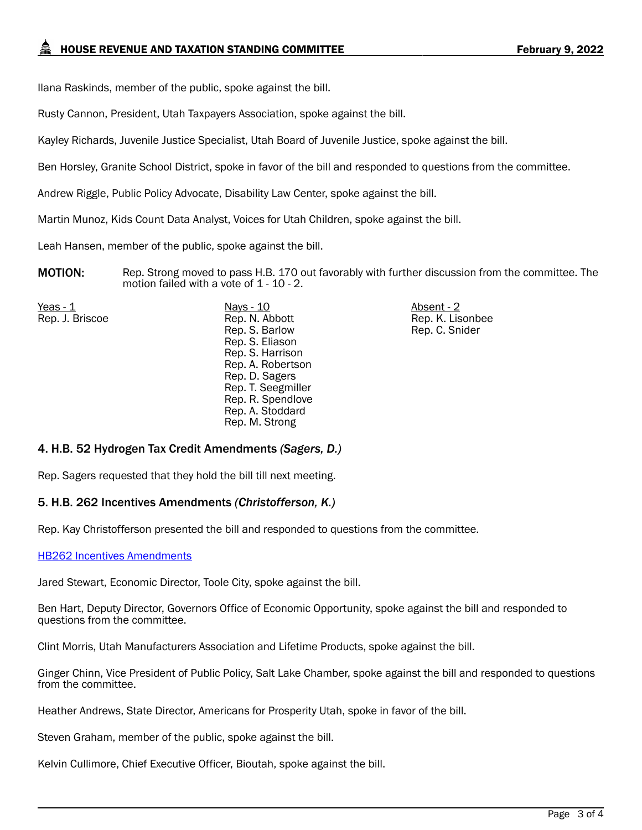Ilana Raskinds, member of the public, spoke against the bill.

Rusty Cannon, President, Utah Taxpayers Association, spoke against the bill.

Kayley Richards, Juvenile Justice Specialist, Utah Board of Juvenile Justice, spoke against the bill.

Ben Horsley, Granite School District, spoke in favor of the bill and responded to questions from the committee.

Andrew Riggle, Public Policy Advocate, Disability Law Center, spoke against the bill.

Martin Munoz, Kids Count Data Analyst, Voices for Utah Children, spoke against the bill.

Leah Hansen, member of the public, spoke against the bill.

MOTION: Rep. Strong moved to pass H.B. 170 out favorably with further discussion from the committee. The motion failed with a vote of 1 - 10 - 2.

<u>Yeas - 1</u> Nays - 10 Absent - 2 Rep. J. Briscoe Rep. N. Abbott Rep. S. Barlow Rep. S. Eliason Rep. S. Harrison Rep. A. Robertson Rep. D. Sagers Rep. T. Seegmiller Rep. R. Spendlove Rep. A. Stoddard Rep. M. Strong

Rep. K. Lisonbee Rep. C. Snider

# 4. H.B. 52 Hydrogen Tax Credit Amendments *(Sagers, D.)*

Rep. Sagers requested that they hold the bill till next meeting.

# 5. H.B. 262 Incentives Amendments *(Christofferson, K.)*

Rep. Kay Christofferson presented the bill and responded to questions from the committee.

#### [HB262 Incentives Amendments](https://le.utah.gov/interim/2022/pdf/00001658.pdf)

Jared Stewart, Economic Director, Toole City, spoke against the bill.

Ben Hart, Deputy Director, Governors Office of Economic Opportunity, spoke against the bill and responded to questions from the committee.

Clint Morris, Utah Manufacturers Association and Lifetime Products, spoke against the bill.

Ginger Chinn, Vice President of Public Policy, Salt Lake Chamber, spoke against the bill and responded to questions from the committee.

Heather Andrews, State Director, Americans for Prosperity Utah, spoke in favor of the bill.

Steven Graham, member of the public, spoke against the bill.

Kelvin Cullimore, Chief Executive Officer, Bioutah, spoke against the bill.